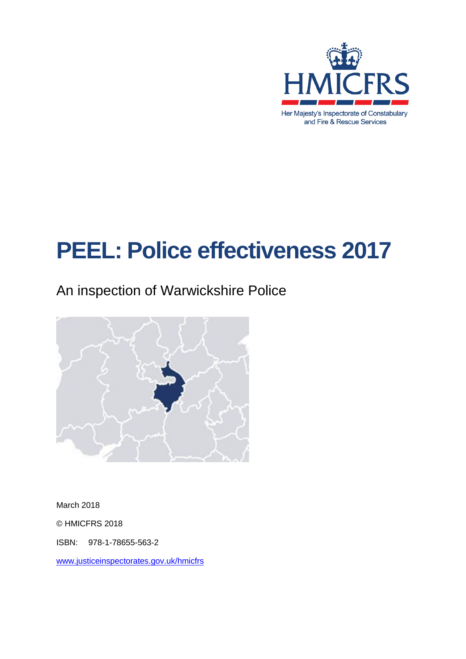

Her Majesty's Inspectorate of Constabulary and Fire & Rescue Services

# **PEEL: Police effectiveness 2017**

# An inspection of Warwickshire Police



March 2018

© HMICFRS 2018

ISBN: 978-1-78655-563-2

[www.justiceinspectorates.gov.uk/hmicfrs](http://www.justiceinspectorates.gov.uk/hmicfrs)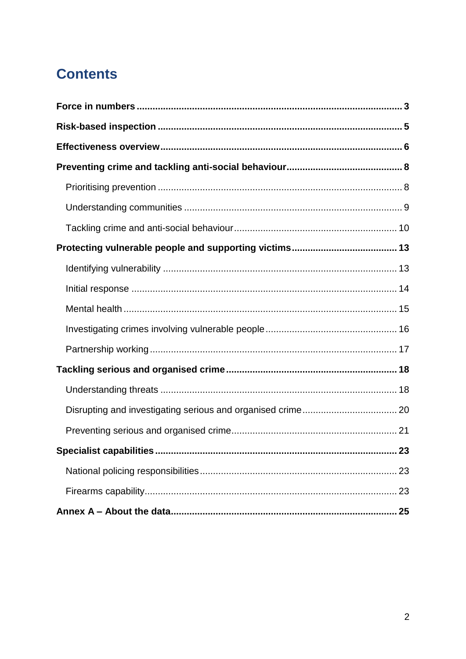# **Contents**

| 25 |
|----|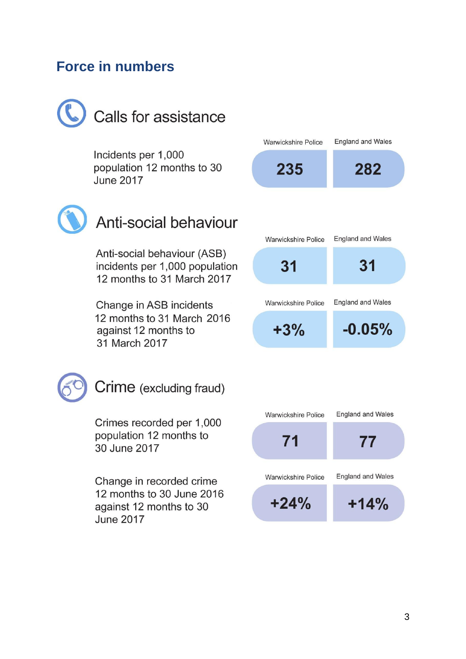# <span id="page-2-0"></span>**Force in numbers**



Incidents per 1,000 population 12 months to 30 **June 2017** 



Anti-social behaviour

Anti-social behaviour (ASB) incidents per 1,000 population 12 months to 31 March 2017

Change in ASB incidents 12 months to 31 March 2016 against 12 months to 31 March 2017



Crime (excluding fraud)

Crimes recorded per 1,000 population 12 months to 30 June 2017

Change in recorded crime 12 months to 30 June 2016 against 12 months to 30 **June 2017** 

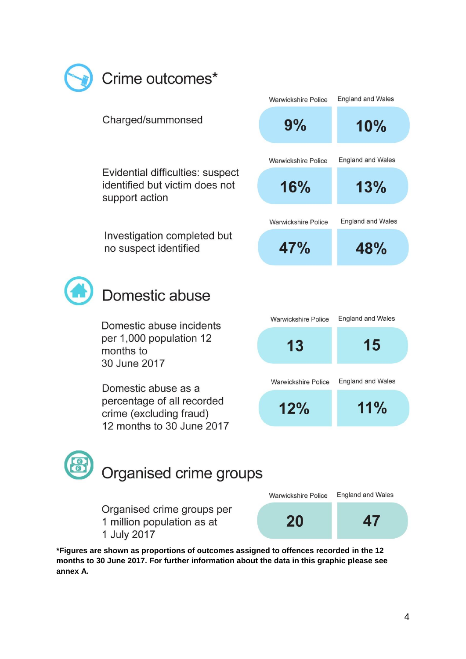

**\*Figures are shown as proportions of outcomes assigned to offences recorded in the 12 months to 30 June 2017. For further information about the data in this graphic please see annex A.**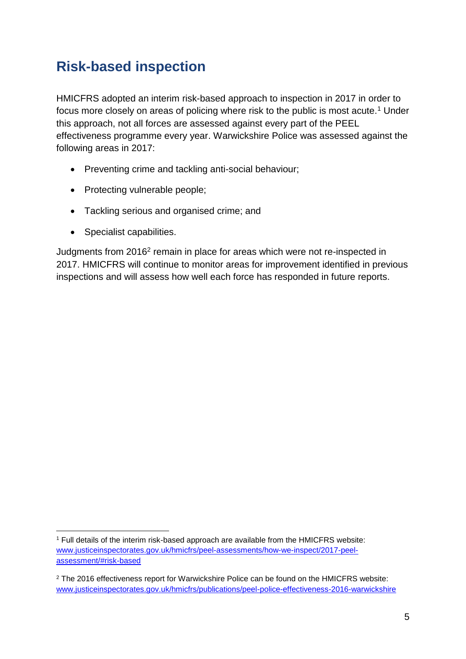# <span id="page-4-0"></span>**Risk-based inspection**

HMICFRS adopted an interim risk-based approach to inspection in 2017 in order to focus more closely on areas of policing where risk to the public is most acute.<sup>1</sup> Under this approach, not all forces are assessed against every part of the PEEL effectiveness programme every year. Warwickshire Police was assessed against the following areas in 2017:

- Preventing crime and tackling anti-social behaviour;
- Protecting vulnerable people;
- Tackling serious and organised crime; and
- Specialist capabilities.

1

Judgments from 2016<sup>2</sup> remain in place for areas which were not re-inspected in 2017. HMICFRS will continue to monitor areas for improvement identified in previous inspections and will assess how well each force has responded in future reports.

<sup>1</sup> Full details of the interim risk-based approach are available from the HMICFRS website: [www.justiceinspectorates.gov.uk/hmicfrs/peel-assessments/how-we-inspect/2017-peel](https://www.justiceinspectorates.gov.uk/hmicfrs/peel-assessments/how-we-inspect/2017-peel-assessment/#risk-based)[assessment/#risk-based](https://www.justiceinspectorates.gov.uk/hmicfrs/peel-assessments/how-we-inspect/2017-peel-assessment/#risk-based)

<sup>2</sup> The 2016 effectiveness report for Warwickshire Police can be found on the HMICFRS website: [www.justiceinspectorates.gov.uk/hmicfrs/publications/peel-police-effectiveness-2016-warwickshire](http://www.justiceinspectorates.gov.uk/hmicfrs/publications/peel-police-effectiveness-2016-warwickshire)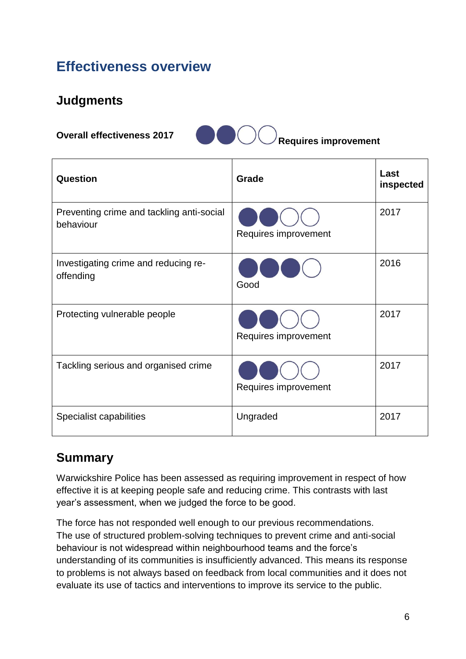# <span id="page-5-0"></span>**Effectiveness overview**

# **Judgments**

Overall effectiveness 2017 **and COVID Requires improvement** 

| Question                                               | Grade                | Last<br>inspected |
|--------------------------------------------------------|----------------------|-------------------|
| Preventing crime and tackling anti-social<br>behaviour | Requires improvement | 2017              |
| Investigating crime and reducing re-<br>offending      | Good                 | 2016              |
| Protecting vulnerable people                           | Requires improvement | 2017              |
| Tackling serious and organised crime                   | Requires improvement | 2017              |
| Specialist capabilities                                | Ungraded             | 2017              |

# **Summary**

Warwickshire Police has been assessed as requiring improvement in respect of how effective it is at keeping people safe and reducing crime. This contrasts with last year's assessment, when we judged the force to be good.

The force has not responded well enough to our previous recommendations. The use of structured problem-solving techniques to prevent crime and anti-social behaviour is not widespread within neighbourhood teams and the force's understanding of its communities is insufficiently advanced. This means its response to problems is not always based on feedback from local communities and it does not evaluate its use of tactics and interventions to improve its service to the public.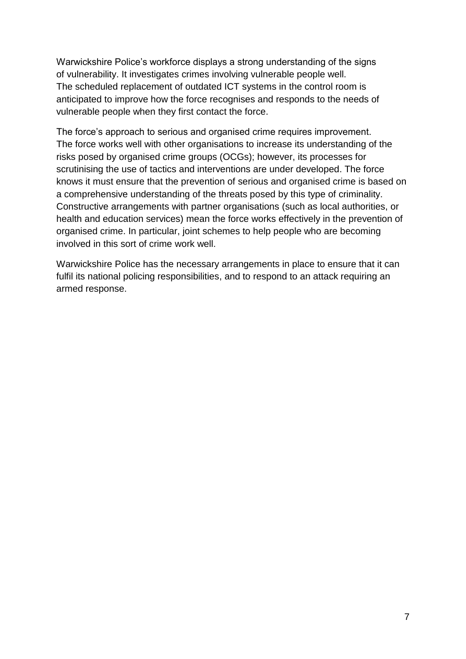Warwickshire Police's workforce displays a strong understanding of the signs of vulnerability. It investigates crimes involving vulnerable people well. The scheduled replacement of outdated ICT systems in the control room is anticipated to improve how the force recognises and responds to the needs of vulnerable people when they first contact the force.

The force's approach to serious and organised crime requires improvement. The force works well with other organisations to increase its understanding of the risks posed by organised crime groups (OCGs); however, its processes for scrutinising the use of tactics and interventions are under developed. The force knows it must ensure that the prevention of serious and organised crime is based on a comprehensive understanding of the threats posed by this type of criminality. Constructive arrangements with partner organisations (such as local authorities, or health and education services) mean the force works effectively in the prevention of organised crime. In particular, joint schemes to help people who are becoming involved in this sort of crime work well.

Warwickshire Police has the necessary arrangements in place to ensure that it can fulfil its national policing responsibilities, and to respond to an attack requiring an armed response.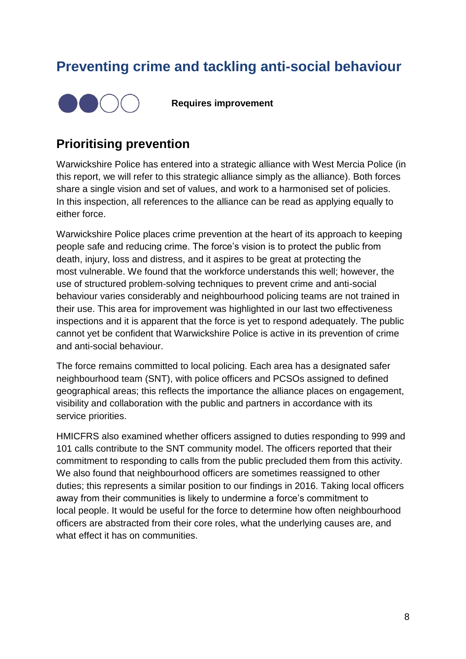# <span id="page-7-0"></span>**Preventing crime and tackling anti-social behaviour**



**Requires improvement**

### <span id="page-7-1"></span>**Prioritising prevention**

Warwickshire Police has entered into a strategic alliance with West Mercia Police (in this report, we will refer to this strategic alliance simply as the alliance). Both forces share a single vision and set of values, and work to a harmonised set of policies. In this inspection, all references to the alliance can be read as applying equally to either force.

Warwickshire Police places crime prevention at the heart of its approach to keeping people safe and reducing crime. The force's vision is to protect the public from death, injury, loss and distress, and it aspires to be great at protecting the most vulnerable. We found that the workforce understands this well; however, the use of structured problem-solving techniques to prevent crime and anti-social behaviour varies considerably and neighbourhood policing teams are not trained in their use. This area for improvement was highlighted in our last two effectiveness inspections and it is apparent that the force is yet to respond adequately. The public cannot yet be confident that Warwickshire Police is active in its prevention of crime and anti-social behaviour.

The force remains committed to local policing. Each area has a designated safer neighbourhood team (SNT), with police officers and PCSOs assigned to defined geographical areas; this reflects the importance the alliance places on engagement, visibility and collaboration with the public and partners in accordance with its service priorities.

HMICFRS also examined whether officers assigned to duties responding to 999 and 101 calls contribute to the SNT community model. The officers reported that their commitment to responding to calls from the public precluded them from this activity. We also found that neighbourhood officers are sometimes reassigned to other duties; this represents a similar position to our findings in 2016. Taking local officers away from their communities is likely to undermine a force's commitment to local people. It would be useful for the force to determine how often neighbourhood officers are abstracted from their core roles, what the underlying causes are, and what effect it has on communities.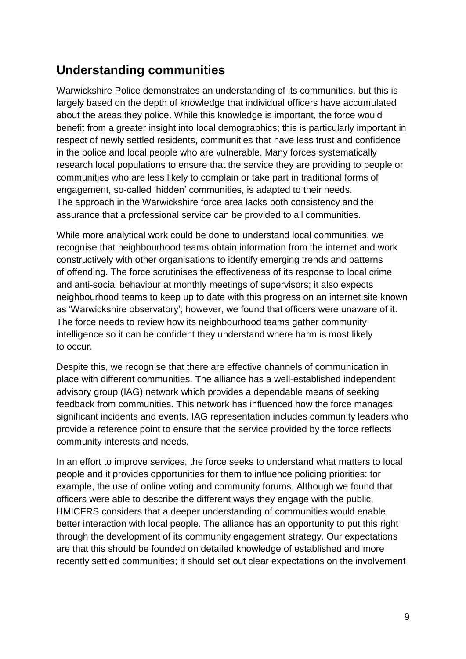### <span id="page-8-0"></span>**Understanding communities**

Warwickshire Police demonstrates an understanding of its communities, but this is largely based on the depth of knowledge that individual officers have accumulated about the areas they police. While this knowledge is important, the force would benefit from a greater insight into local demographics; this is particularly important in respect of newly settled residents, communities that have less trust and confidence in the police and local people who are vulnerable. Many forces systematically research local populations to ensure that the service they are providing to people or communities who are less likely to complain or take part in traditional forms of engagement, so-called 'hidden' communities, is adapted to their needs. The approach in the Warwickshire force area lacks both consistency and the assurance that a professional service can be provided to all communities.

While more analytical work could be done to understand local communities, we recognise that neighbourhood teams obtain information from the internet and work constructively with other organisations to identify emerging trends and patterns of offending. The force scrutinises the effectiveness of its response to local crime and anti-social behaviour at monthly meetings of supervisors; it also expects neighbourhood teams to keep up to date with this progress on an internet site known as 'Warwickshire observatory'; however, we found that officers were unaware of it. The force needs to review how its neighbourhood teams gather community intelligence so it can be confident they understand where harm is most likely to occur.

Despite this, we recognise that there are effective channels of communication in place with different communities. The alliance has a well-established independent advisory group (IAG) network which provides a dependable means of seeking feedback from communities. This network has influenced how the force manages significant incidents and events. IAG representation includes community leaders who provide a reference point to ensure that the service provided by the force reflects community interests and needs.

In an effort to improve services, the force seeks to understand what matters to local people and it provides opportunities for them to influence policing priorities: for example, the use of online voting and community forums. Although we found that officers were able to describe the different ways they engage with the public, HMICFRS considers that a deeper understanding of communities would enable better interaction with local people. The alliance has an opportunity to put this right through the development of its community engagement strategy. Our expectations are that this should be founded on detailed knowledge of established and more recently settled communities; it should set out clear expectations on the involvement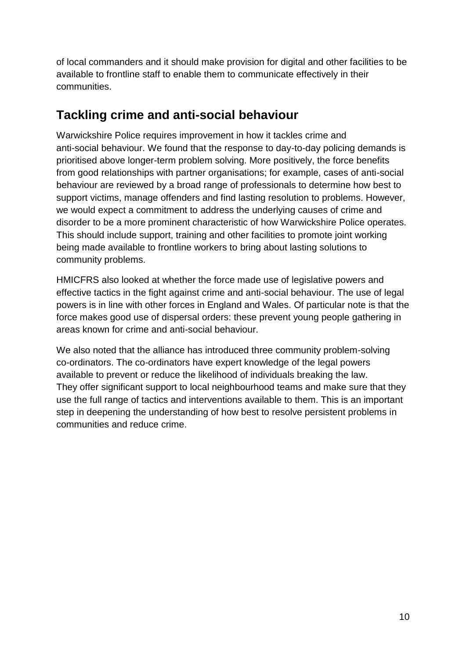of local commanders and it should make provision for digital and other facilities to be available to frontline staff to enable them to communicate effectively in their communities.

# <span id="page-9-0"></span>**Tackling crime and anti-social behaviour**

Warwickshire Police requires improvement in how it tackles crime and anti-social behaviour. We found that the response to day-to-day policing demands is prioritised above longer-term problem solving. More positively, the force benefits from good relationships with partner organisations; for example, cases of anti-social behaviour are reviewed by a broad range of professionals to determine how best to support victims, manage offenders and find lasting resolution to problems. However, we would expect a commitment to address the underlying causes of crime and disorder to be a more prominent characteristic of how Warwickshire Police operates. This should include support, training and other facilities to promote joint working being made available to frontline workers to bring about lasting solutions to community problems.

HMICFRS also looked at whether the force made use of legislative powers and effective tactics in the fight against crime and anti-social behaviour. The use of legal powers is in line with other forces in England and Wales. Of particular note is that the force makes good use of dispersal orders: these prevent young people gathering in areas known for crime and anti-social behaviour.

We also noted that the alliance has introduced three community problem-solving co-ordinators. The co-ordinators have expert knowledge of the legal powers available to prevent or reduce the likelihood of individuals breaking the law. They offer significant support to local neighbourhood teams and make sure that they use the full range of tactics and interventions available to them. This is an important step in deepening the understanding of how best to resolve persistent problems in communities and reduce crime.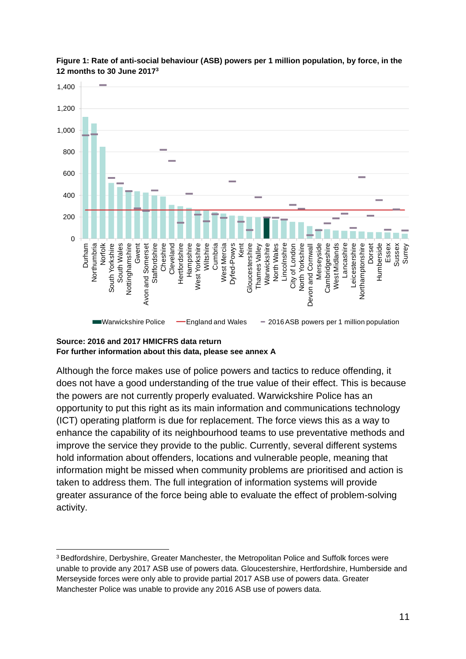

#### **Figure 1: Rate of anti-social behaviour (ASB) powers per 1 million population, by force, in the 12 months to 30 June 2017<sup>3</sup>**

#### **Source: 2016 and 2017 HMICFRS data return For further information about this data, please see annex A**

1

Although the force makes use of police powers and tactics to reduce offending, it does not have a good understanding of the true value of their effect. This is because the powers are not currently properly evaluated. Warwickshire Police has an opportunity to put this right as its main information and communications technology (ICT) operating platform is due for replacement. The force views this as a way to enhance the capability of its neighbourhood teams to use preventative methods and improve the service they provide to the public. Currently, several different systems hold information about offenders, locations and vulnerable people, meaning that information might be missed when community problems are prioritised and action is taken to address them. The full integration of information systems will provide greater assurance of the force being able to evaluate the effect of problem-solving activity.

<sup>3</sup> Bedfordshire, Derbyshire, Greater Manchester, the Metropolitan Police and Suffolk forces were unable to provide any 2017 ASB use of powers data. Gloucestershire, Hertfordshire, Humberside and Merseyside forces were only able to provide partial 2017 ASB use of powers data. Greater Manchester Police was unable to provide any 2016 ASB use of powers data.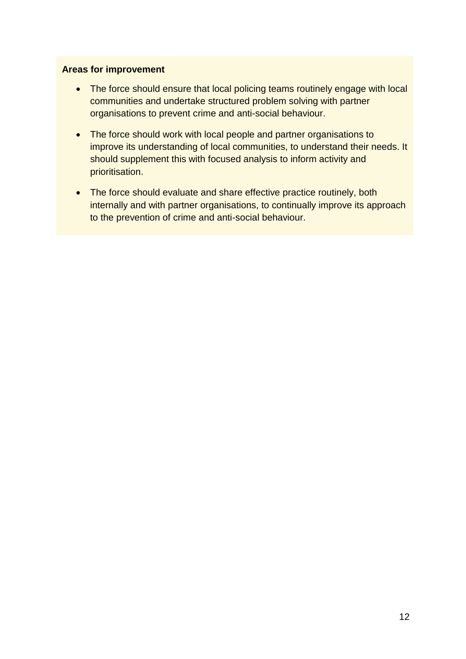#### **Areas for improvement**

- The force should ensure that local policing teams routinely engage with local communities and undertake structured problem solving with partner organisations to prevent crime and anti-social behaviour.
- The force should work with local people and partner organisations to improve its understanding of local communities, to understand their needs. It should supplement this with focused analysis to inform activity and prioritisation.
- The force should evaluate and share effective practice routinely, both internally and with partner organisations, to continually improve its approach to the prevention of crime and anti-social behaviour.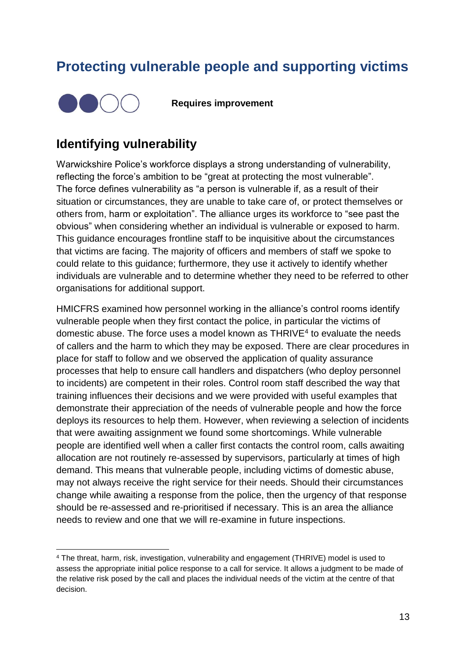# <span id="page-12-0"></span>**Protecting vulnerable people and supporting victims**



1

**Requires improvement**

#### <span id="page-12-1"></span>**Identifying vulnerability**

Warwickshire Police's workforce displays a strong understanding of vulnerability, reflecting the force's ambition to be "great at protecting the most vulnerable". The force defines vulnerability as "a person is vulnerable if, as a result of their situation or circumstances, they are unable to take care of, or protect themselves or others from, harm or exploitation". The alliance urges its workforce to "see past the obvious" when considering whether an individual is vulnerable or exposed to harm. This guidance encourages frontline staff to be inquisitive about the circumstances that victims are facing. The majority of officers and members of staff we spoke to could relate to this guidance; furthermore, they use it actively to identify whether individuals are vulnerable and to determine whether they need to be referred to other organisations for additional support.

HMICFRS examined how personnel working in the alliance's control rooms identify vulnerable people when they first contact the police, in particular the victims of domestic abuse. The force uses a model known as THRIVE<sup>4</sup> to evaluate the needs of callers and the harm to which they may be exposed. There are clear procedures in place for staff to follow and we observed the application of quality assurance processes that help to ensure call handlers and dispatchers (who deploy personnel to incidents) are competent in their roles. Control room staff described the way that training influences their decisions and we were provided with useful examples that demonstrate their appreciation of the needs of vulnerable people and how the force deploys its resources to help them. However, when reviewing a selection of incidents that were awaiting assignment we found some shortcomings. While vulnerable people are identified well when a caller first contacts the control room, calls awaiting allocation are not routinely re-assessed by supervisors, particularly at times of high demand. This means that vulnerable people, including victims of domestic abuse, may not always receive the right service for their needs. Should their circumstances change while awaiting a response from the police, then the urgency of that response should be re-assessed and re-prioritised if necessary. This is an area the alliance needs to review and one that we will re-examine in future inspections.

<sup>4</sup> The threat, harm, risk, investigation, vulnerability and engagement (THRIVE) model is used to assess the appropriate initial police response to a call for service. It allows a judgment to be made of the relative risk posed by the call and places the individual needs of the victim at the centre of that decision.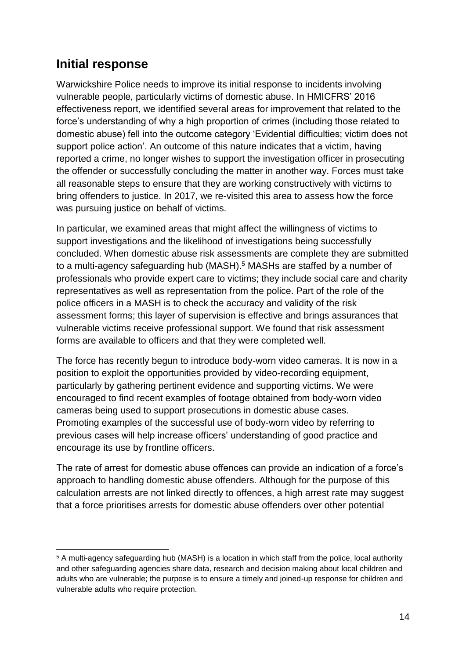### <span id="page-13-0"></span>**Initial response**

Warwickshire Police needs to improve its initial response to incidents involving vulnerable people, particularly victims of domestic abuse. In HMICFRS' 2016 effectiveness report, we identified several areas for improvement that related to the force's understanding of why a high proportion of crimes (including those related to domestic abuse) fell into the outcome category 'Evidential difficulties; victim does not support police action'. An outcome of this nature indicates that a victim, having reported a crime, no longer wishes to support the investigation officer in prosecuting the offender or successfully concluding the matter in another way. Forces must take all reasonable steps to ensure that they are working constructively with victims to bring offenders to justice. In 2017, we re-visited this area to assess how the force was pursuing justice on behalf of victims.

In particular, we examined areas that might affect the willingness of victims to support investigations and the likelihood of investigations being successfully concluded. When domestic abuse risk assessments are complete they are submitted to a multi-agency safeguarding hub (MASH).<sup>5</sup> MASHs are staffed by a number of professionals who provide expert care to victims; they include social care and charity representatives as well as representation from the police. Part of the role of the police officers in a MASH is to check the accuracy and validity of the risk assessment forms; this layer of supervision is effective and brings assurances that vulnerable victims receive professional support. We found that risk assessment forms are available to officers and that they were completed well.

The force has recently begun to introduce body-worn video cameras. It is now in a position to exploit the opportunities provided by video-recording equipment, particularly by gathering pertinent evidence and supporting victims. We were encouraged to find recent examples of footage obtained from body-worn video cameras being used to support prosecutions in domestic abuse cases. Promoting examples of the successful use of body-worn video by referring to previous cases will help increase officers' understanding of good practice and encourage its use by frontline officers.

The rate of arrest for domestic abuse offences can provide an indication of a force's approach to handling domestic abuse offenders. Although for the purpose of this calculation arrests are not linked directly to offences, a high arrest rate may suggest that a force prioritises arrests for domestic abuse offenders over other potential

<sup>1</sup> <sup>5</sup> A multi-agency safeguarding hub (MASH) is a location in which staff from the police, local authority and other safeguarding agencies share data, research and decision making about local children and adults who are vulnerable; the purpose is to ensure a timely and joined-up response for children and vulnerable adults who require protection.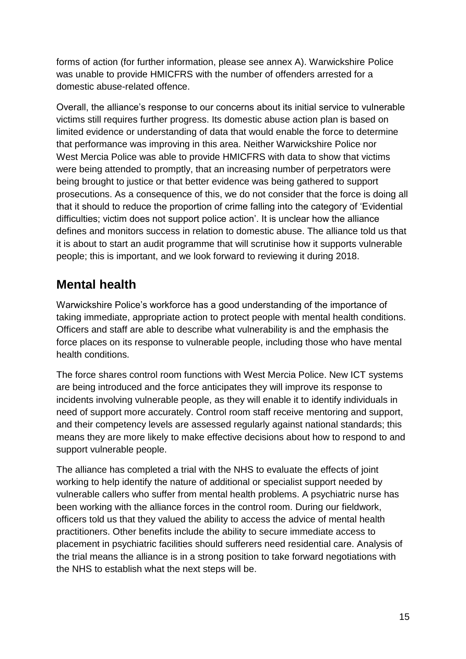forms of action (for further information, please see annex A). Warwickshire Police was unable to provide HMICFRS with the number of offenders arrested for a domestic abuse-related offence.

Overall, the alliance's response to our concerns about its initial service to vulnerable victims still requires further progress. Its domestic abuse action plan is based on limited evidence or understanding of data that would enable the force to determine that performance was improving in this area. Neither Warwickshire Police nor West Mercia Police was able to provide HMICFRS with data to show that victims were being attended to promptly, that an increasing number of perpetrators were being brought to justice or that better evidence was being gathered to support prosecutions. As a consequence of this, we do not consider that the force is doing all that it should to reduce the proportion of crime falling into the category of 'Evidential difficulties; victim does not support police action'. It is unclear how the alliance defines and monitors success in relation to domestic abuse. The alliance told us that it is about to start an audit programme that will scrutinise how it supports vulnerable people; this is important, and we look forward to reviewing it during 2018.

# <span id="page-14-0"></span>**Mental health**

Warwickshire Police's workforce has a good understanding of the importance of taking immediate, appropriate action to protect people with mental health conditions. Officers and staff are able to describe what vulnerability is and the emphasis the force places on its response to vulnerable people, including those who have mental health conditions.

The force shares control room functions with West Mercia Police. New ICT systems are being introduced and the force anticipates they will improve its response to incidents involving vulnerable people, as they will enable it to identify individuals in need of support more accurately. Control room staff receive mentoring and support, and their competency levels are assessed regularly against national standards; this means they are more likely to make effective decisions about how to respond to and support vulnerable people.

The alliance has completed a trial with the NHS to evaluate the effects of joint working to help identify the nature of additional or specialist support needed by vulnerable callers who suffer from mental health problems. A psychiatric nurse has been working with the alliance forces in the control room. During our fieldwork, officers told us that they valued the ability to access the advice of mental health practitioners. Other benefits include the ability to secure immediate access to placement in psychiatric facilities should sufferers need residential care. Analysis of the trial means the alliance is in a strong position to take forward negotiations with the NHS to establish what the next steps will be.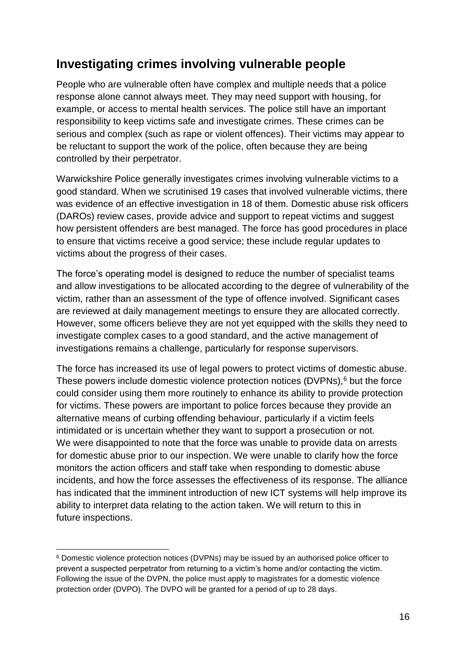### <span id="page-15-0"></span>**Investigating crimes involving vulnerable people**

People who are vulnerable often have complex and multiple needs that a police response alone cannot always meet. They may need support with housing, for example, or access to mental health services. The police still have an important responsibility to keep victims safe and investigate crimes. These crimes can be serious and complex (such as rape or violent offences). Their victims may appear to be reluctant to support the work of the police, often because they are being controlled by their perpetrator.

Warwickshire Police generally investigates crimes involving vulnerable victims to a good standard. When we scrutinised 19 cases that involved vulnerable victims, there was evidence of an effective investigation in 18 of them. Domestic abuse risk officers (DAROs) review cases, provide advice and support to repeat victims and suggest how persistent offenders are best managed. The force has good procedures in place to ensure that victims receive a good service; these include regular updates to victims about the progress of their cases.

The force's operating model is designed to reduce the number of specialist teams and allow investigations to be allocated according to the degree of vulnerability of the victim, rather than an assessment of the type of offence involved. Significant cases are reviewed at daily management meetings to ensure they are allocated correctly. However, some officers believe they are not yet equipped with the skills they need to investigate complex cases to a good standard, and the active management of investigations remains a challenge, particularly for response supervisors.

The force has increased its use of legal powers to protect victims of domestic abuse. These powers include domestic violence protection notices (DVPNs),<sup>6</sup> but the force could consider using them more routinely to enhance its ability to provide protection for victims. These powers are important to police forces because they provide an alternative means of curbing offending behaviour, particularly if a victim feels intimidated or is uncertain whether they want to support a prosecution or not. We were disappointed to note that the force was unable to provide data on arrests for domestic abuse prior to our inspection. We were unable to clarify how the force monitors the action officers and staff take when responding to domestic abuse incidents, and how the force assesses the effectiveness of its response. The alliance has indicated that the imminent introduction of new ICT systems will help improve its ability to interpret data relating to the action taken. We will return to this in future inspections.

1

<sup>6</sup> Domestic violence protection notices (DVPNs) may be issued by an authorised police officer to prevent a suspected perpetrator from returning to a victim's home and/or contacting the victim. Following the issue of the DVPN, the police must apply to magistrates for a domestic violence protection order (DVPO). The DVPO will be granted for a period of up to 28 days.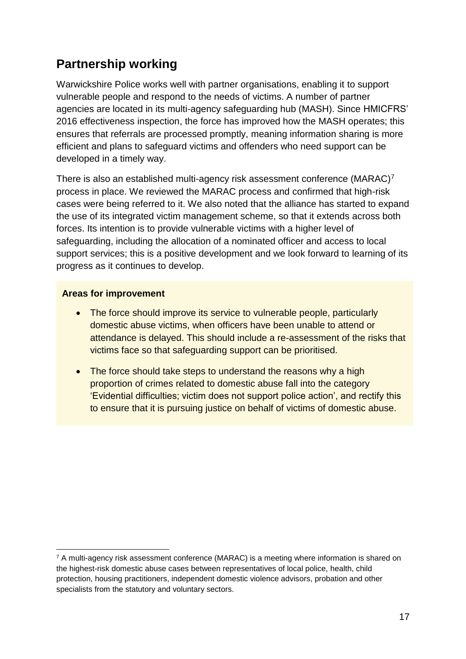# <span id="page-16-0"></span>**Partnership working**

Warwickshire Police works well with partner organisations, enabling it to support vulnerable people and respond to the needs of victims. A number of partner agencies are located in its multi-agency safeguarding hub (MASH). Since HMICFRS' 2016 effectiveness inspection, the force has improved how the MASH operates; this ensures that referrals are processed promptly, meaning information sharing is more efficient and plans to safeguard victims and offenders who need support can be developed in a timely way.

There is also an established multi-agency risk assessment conference (MARAC)<sup>7</sup> process in place. We reviewed the MARAC process and confirmed that high-risk cases were being referred to it. We also noted that the alliance has started to expand the use of its integrated victim management scheme, so that it extends across both forces. Its intention is to provide vulnerable victims with a higher level of safeguarding, including the allocation of a nominated officer and access to local support services; this is a positive development and we look forward to learning of its progress as it continues to develop.

#### **Areas for improvement**

- The force should improve its service to vulnerable people, particularly domestic abuse victims, when officers have been unable to attend or attendance is delayed. This should include a re-assessment of the risks that victims face so that safeguarding support can be prioritised.
- The force should take steps to understand the reasons why a high proportion of crimes related to domestic abuse fall into the category 'Evidential difficulties; victim does not support police action', and rectify this to ensure that it is pursuing justice on behalf of victims of domestic abuse.

<sup>1</sup>  $7$  A multi-agency risk assessment conference (MARAC) is a meeting where information is shared on the highest-risk domestic abuse cases between representatives of local police, health, child protection, housing practitioners, independent domestic violence advisors, probation and other specialists from the statutory and voluntary sectors.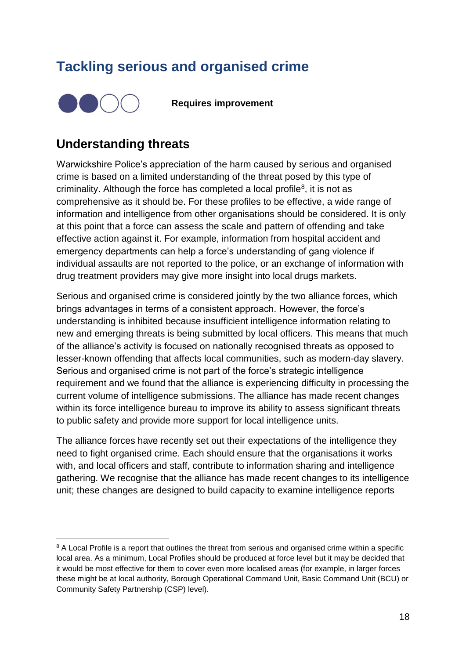# <span id="page-17-0"></span>**Tackling serious and organised crime**



1

**Requires improvement**

### <span id="page-17-1"></span>**Understanding threats**

Warwickshire Police's appreciation of the harm caused by serious and organised crime is based on a limited understanding of the threat posed by this type of criminality. Although the force has completed a local profile<sup>8</sup>, it is not as comprehensive as it should be. For these profiles to be effective, a wide range of information and intelligence from other organisations should be considered. It is only at this point that a force can assess the scale and pattern of offending and take effective action against it. For example, information from hospital accident and emergency departments can help a force's understanding of gang violence if individual assaults are not reported to the police, or an exchange of information with drug treatment providers may give more insight into local drugs markets.

Serious and organised crime is considered jointly by the two alliance forces, which brings advantages in terms of a consistent approach. However, the force's understanding is inhibited because insufficient intelligence information relating to new and emerging threats is being submitted by local officers. This means that much of the alliance's activity is focused on nationally recognised threats as opposed to lesser-known offending that affects local communities, such as modern-day slavery. Serious and organised crime is not part of the force's strategic intelligence requirement and we found that the alliance is experiencing difficulty in processing the current volume of intelligence submissions. The alliance has made recent changes within its force intelligence bureau to improve its ability to assess significant threats to public safety and provide more support for local intelligence units.

The alliance forces have recently set out their expectations of the intelligence they need to fight organised crime. Each should ensure that the organisations it works with, and local officers and staff, contribute to information sharing and intelligence gathering. We recognise that the alliance has made recent changes to its intelligence unit; these changes are designed to build capacity to examine intelligence reports

<sup>8</sup> A Local Profile is a report that outlines the threat from serious and organised crime within a specific local area. As a minimum, Local Profiles should be produced at force level but it may be decided that it would be most effective for them to cover even more localised areas (for example, in larger forces these might be at local authority, Borough Operational Command Unit, Basic Command Unit (BCU) or Community Safety Partnership (CSP) level).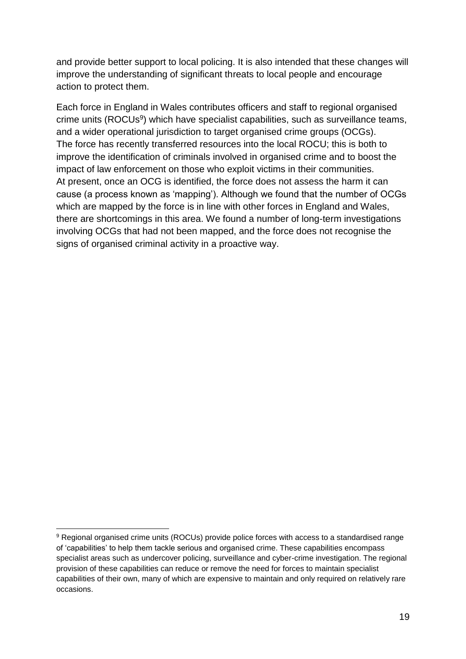and provide better support to local policing. It is also intended that these changes will improve the understanding of significant threats to local people and encourage action to protect them.

Each force in England in Wales contributes officers and staff to regional organised crime units (ROCUs<sup>9</sup>) which have specialist capabilities, such as surveillance teams, and a wider operational jurisdiction to target organised crime groups (OCGs). The force has recently transferred resources into the local ROCU; this is both to improve the identification of criminals involved in organised crime and to boost the impact of law enforcement on those who exploit victims in their communities. At present, once an OCG is identified, the force does not assess the harm it can cause (a process known as 'mapping'). Although we found that the number of OCGs which are mapped by the force is in line with other forces in England and Wales, there are shortcomings in this area. We found a number of long-term investigations involving OCGs that had not been mapped, and the force does not recognise the signs of organised criminal activity in a proactive way.

<u>.</u>

<sup>9</sup> Regional organised crime units (ROCUs) provide police forces with access to a standardised range of 'capabilities' to help them tackle serious and organised crime. These capabilities encompass specialist areas such as undercover policing, surveillance and cyber-crime investigation. The regional provision of these capabilities can reduce or remove the need for forces to maintain specialist capabilities of their own, many of which are expensive to maintain and only required on relatively rare occasions.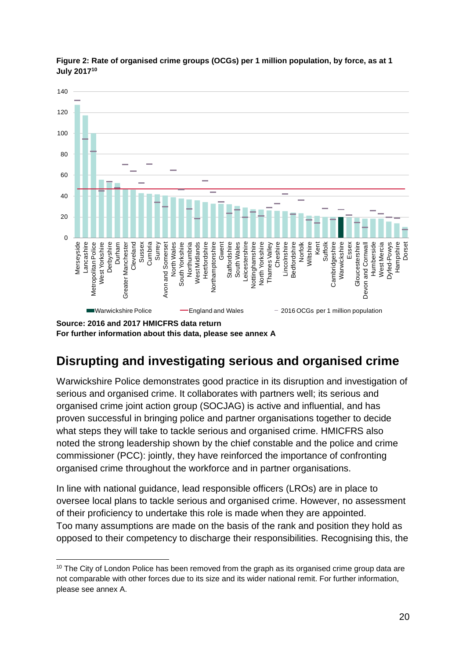



# <span id="page-19-0"></span>**Disrupting and investigating serious and organised crime**

Warwickshire Police demonstrates good practice in its disruption and investigation of serious and organised crime. It collaborates with partners well; its serious and organised crime joint action group (SOCJAG) is active and influential, and has proven successful in bringing police and partner organisations together to decide what steps they will take to tackle serious and organised crime. HMICFRS also noted the strong leadership shown by the chief constable and the police and crime commissioner (PCC): jointly, they have reinforced the importance of confronting organised crime throughout the workforce and in partner organisations.

In line with national guidance, lead responsible officers (LROs) are in place to oversee local plans to tackle serious and organised crime. However, no assessment of their proficiency to undertake this role is made when they are appointed. Too many assumptions are made on the basis of the rank and position they hold as opposed to their competency to discharge their responsibilities. Recognising this, the

**Source: 2016 and 2017 HMICFRS data return For further information about this data, please see annex A**

<sup>&</sup>lt;u>.</u> <sup>10</sup> The City of London Police has been removed from the graph as its organised crime group data are not comparable with other forces due to its size and its wider national remit. For further information, please see annex A.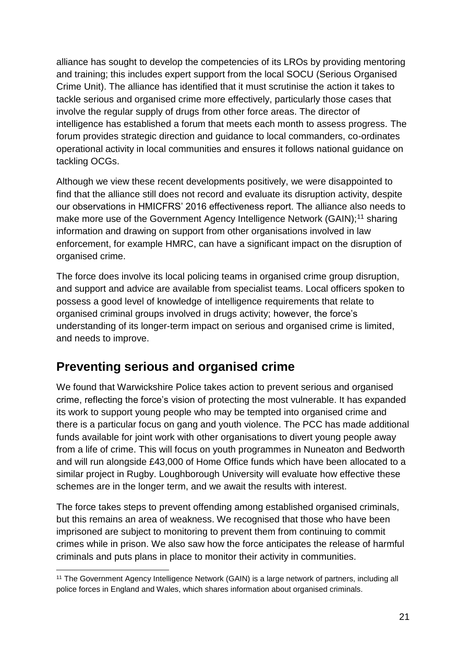alliance has sought to develop the competencies of its LROs by providing mentoring and training; this includes expert support from the local SOCU (Serious Organised Crime Unit). The alliance has identified that it must scrutinise the action it takes to tackle serious and organised crime more effectively, particularly those cases that involve the regular supply of drugs from other force areas. The director of intelligence has established a forum that meets each month to assess progress. The forum provides strategic direction and guidance to local commanders, co-ordinates operational activity in local communities and ensures it follows national guidance on tackling OCGs.

Although we view these recent developments positively, we were disappointed to find that the alliance still does not record and evaluate its disruption activity, despite our observations in HMICFRS' 2016 effectiveness report. The alliance also needs to make more use of the Government Agency Intelligence Network (GAIN):<sup>11</sup> sharing information and drawing on support from other organisations involved in law enforcement, for example HMRC, can have a significant impact on the disruption of organised crime.

The force does involve its local policing teams in organised crime group disruption, and support and advice are available from specialist teams. Local officers spoken to possess a good level of knowledge of intelligence requirements that relate to organised criminal groups involved in drugs activity; however, the force's understanding of its longer-term impact on serious and organised crime is limited, and needs to improve.

### <span id="page-20-0"></span>**Preventing serious and organised crime**

We found that Warwickshire Police takes action to prevent serious and organised crime, reflecting the force's vision of protecting the most vulnerable. It has expanded its work to support young people who may be tempted into organised crime and there is a particular focus on gang and youth violence. The PCC has made additional funds available for joint work with other organisations to divert young people away from a life of crime. This will focus on youth programmes in Nuneaton and Bedworth and will run alongside £43,000 of Home Office funds which have been allocated to a similar project in Rugby. Loughborough University will evaluate how effective these schemes are in the longer term, and we await the results with interest.

The force takes steps to prevent offending among established organised criminals, but this remains an area of weakness. We recognised that those who have been imprisoned are subject to monitoring to prevent them from continuing to commit crimes while in prison. We also saw how the force anticipates the release of harmful criminals and puts plans in place to monitor their activity in communities.

<sup>1</sup> <sup>11</sup> The Government Agency Intelligence Network (GAIN) is a large network of partners, including all police forces in England and Wales, which shares information about organised criminals.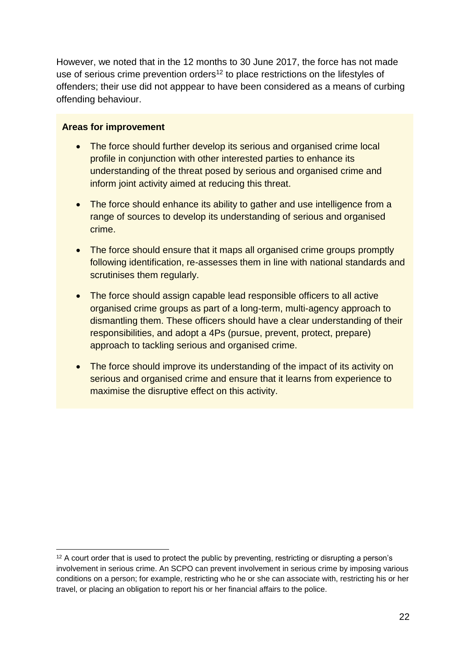However, we noted that in the 12 months to 30 June 2017, the force has not made use of serious crime prevention orders<sup>12</sup> to place restrictions on the lifestyles of offenders; their use did not apppear to have been considered as a means of curbing offending behaviour.

#### **Areas for improvement**

- The force should further develop its serious and organised crime local profile in conjunction with other interested parties to enhance its understanding of the threat posed by serious and organised crime and inform joint activity aimed at reducing this threat.
- The force should enhance its ability to gather and use intelligence from a range of sources to develop its understanding of serious and organised crime.
- The force should ensure that it maps all organised crime groups promptly following identification, re-assesses them in line with national standards and scrutinises them regularly.
- The force should assign capable lead responsible officers to all active organised crime groups as part of a long-term, multi-agency approach to dismantling them. These officers should have a clear understanding of their responsibilities, and adopt a 4Ps (pursue, prevent, protect, prepare) approach to tackling serious and organised crime.
- The force should improve its understanding of the impact of its activity on serious and organised crime and ensure that it learns from experience to maximise the disruptive effect on this activity.

<sup>1</sup> <sup>12</sup> A court order that is used to protect the public by preventing, restricting or disrupting a person's involvement in serious crime. An SCPO can prevent involvement in serious crime by imposing various conditions on a person; for example, restricting who he or she can associate with, restricting his or her travel, or placing an obligation to report his or her financial affairs to the police.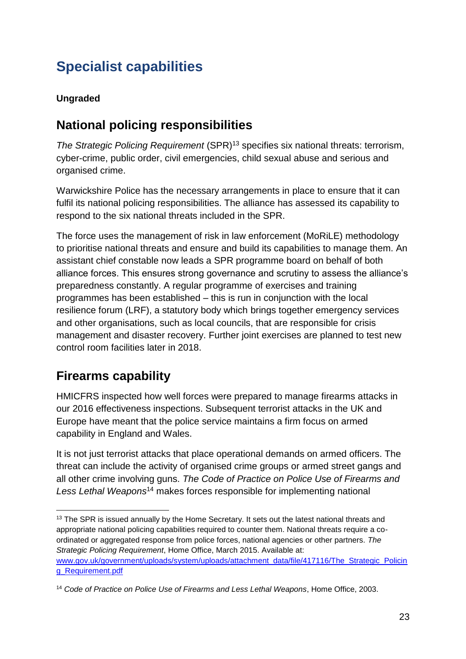# <span id="page-22-0"></span>**Specialist capabilities**

#### **Ungraded**

### <span id="page-22-1"></span>**National policing responsibilities**

*The Strategic Policing Requirement* (SPR)<sup>13</sup> specifies six national threats: terrorism, cyber-crime, public order, civil emergencies, child sexual abuse and serious and organised crime.

Warwickshire Police has the necessary arrangements in place to ensure that it can fulfil its national policing responsibilities. The alliance has assessed its capability to respond to the six national threats included in the SPR.

The force uses the management of risk in law enforcement (MoRiLE) methodology to prioritise national threats and ensure and build its capabilities to manage them. An assistant chief constable now leads a SPR programme board on behalf of both alliance forces. This ensures strong governance and scrutiny to assess the alliance's preparedness constantly. A regular programme of exercises and training programmes has been established – this is run in conjunction with the local resilience forum (LRF), a statutory body which brings together emergency services and other organisations, such as local councils, that are responsible for crisis management and disaster recovery. Further joint exercises are planned to test new control room facilities later in 2018.

# <span id="page-22-2"></span>**Firearms capability**

1

HMICFRS inspected how well forces were prepared to manage firearms attacks in our 2016 effectiveness inspections. Subsequent terrorist attacks in the UK and Europe have meant that the police service maintains a firm focus on armed capability in England and Wales.

It is not just terrorist attacks that place operational demands on armed officers. The threat can include the activity of organised crime groups or armed street gangs and all other crime involving guns. *The Code of Practice on Police Use of Firearms and Less Lethal Weapons*<sup>14</sup> makes forces responsible for implementing national

<sup>&</sup>lt;sup>13</sup> The SPR is issued annually by the Home Secretary. It sets out the latest national threats and appropriate national policing capabilities required to counter them. National threats require a coordinated or aggregated response from police forces, national agencies or other partners. *The Strategic Policing Requirement*, Home Office, March 2015. Available at: [www.gov.uk/government/uploads/system/uploads/attachment\\_data/file/417116/The\\_Strategic\\_Policin](http://www.gov.uk/government/uploads/system/uploads/attachment_data/file/417116/The_Strategic_Policing_Requirement.pdf) [g\\_Requirement.pdf](http://www.gov.uk/government/uploads/system/uploads/attachment_data/file/417116/The_Strategic_Policing_Requirement.pdf)

<sup>14</sup> *Code of Practice on Police Use of Firearms and Less Lethal Weapons*, Home Office, 2003.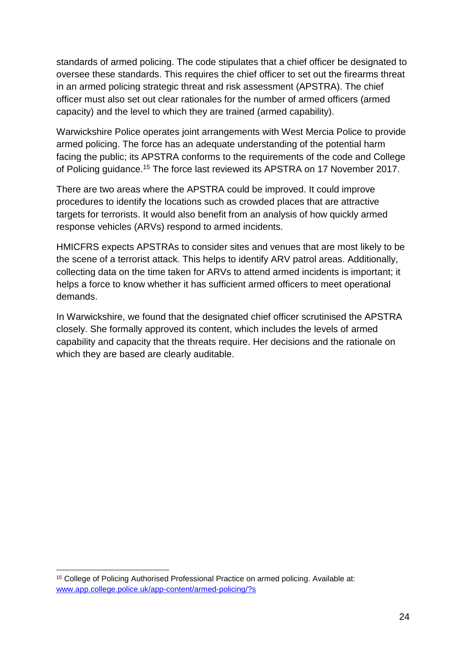standards of armed policing. The code stipulates that a chief officer be designated to oversee these standards. This requires the chief officer to set out the firearms threat in an armed policing strategic threat and risk assessment (APSTRA). The chief officer must also set out clear rationales for the number of armed officers (armed capacity) and the level to which they are trained (armed capability).

Warwickshire Police operates joint arrangements with West Mercia Police to provide armed policing. The force has an adequate understanding of the potential harm facing the public; its APSTRA conforms to the requirements of the code and College of Policing guidance.<sup>15</sup> The force last reviewed its APSTRA on 17 November 2017.

There are two areas where the APSTRA could be improved. It could improve procedures to identify the locations such as crowded places that are attractive targets for terrorists. It would also benefit from an analysis of how quickly armed response vehicles (ARVs) respond to armed incidents.

HMICFRS expects APSTRAs to consider sites and venues that are most likely to be the scene of a terrorist attack. This helps to identify ARV patrol areas. Additionally, collecting data on the time taken for ARVs to attend armed incidents is important; it helps a force to know whether it has sufficient armed officers to meet operational demands.

In Warwickshire, we found that the designated chief officer scrutinised the APSTRA closely. She formally approved its content, which includes the levels of armed capability and capacity that the threats require. Her decisions and the rationale on which they are based are clearly auditable.

1

<sup>15</sup> College of Policing Authorised Professional Practice on armed policing. Available at: [www.app.college.police.uk/app-content/armed-policing/?s](http://www.app.college.police.uk/app-content/armed-policing/?s)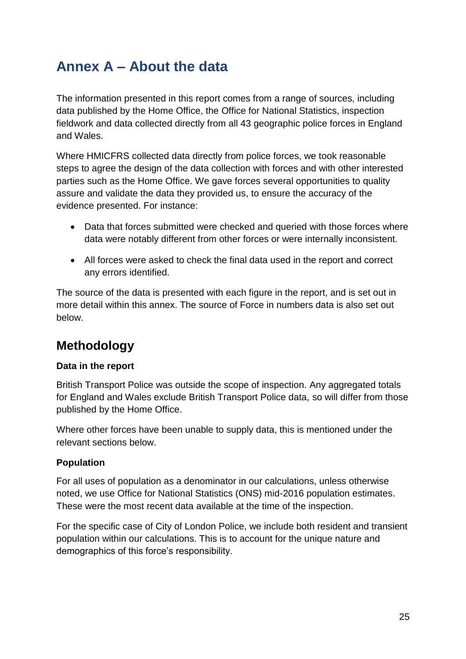# <span id="page-24-0"></span>**Annex A – About the data**

The information presented in this report comes from a range of sources, including data published by the Home Office, the Office for National Statistics, inspection fieldwork and data collected directly from all 43 geographic police forces in England and Wales.

Where HMICFRS collected data directly from police forces, we took reasonable steps to agree the design of the data collection with forces and with other interested parties such as the Home Office. We gave forces several opportunities to quality assure and validate the data they provided us, to ensure the accuracy of the evidence presented. For instance:

- Data that forces submitted were checked and queried with those forces where data were notably different from other forces or were internally inconsistent.
- All forces were asked to check the final data used in the report and correct any errors identified.

The source of the data is presented with each figure in the report, and is set out in more detail within this annex. The source of Force in numbers data is also set out below.

# **Methodology**

#### **Data in the report**

British Transport Police was outside the scope of inspection. Any aggregated totals for England and Wales exclude British Transport Police data, so will differ from those published by the Home Office.

Where other forces have been unable to supply data, this is mentioned under the relevant sections below.

#### **Population**

For all uses of population as a denominator in our calculations, unless otherwise noted, we use Office for National Statistics (ONS) mid-2016 population estimates. These were the most recent data available at the time of the inspection.

For the specific case of City of London Police, we include both resident and transient population within our calculations. This is to account for the unique nature and demographics of this force's responsibility.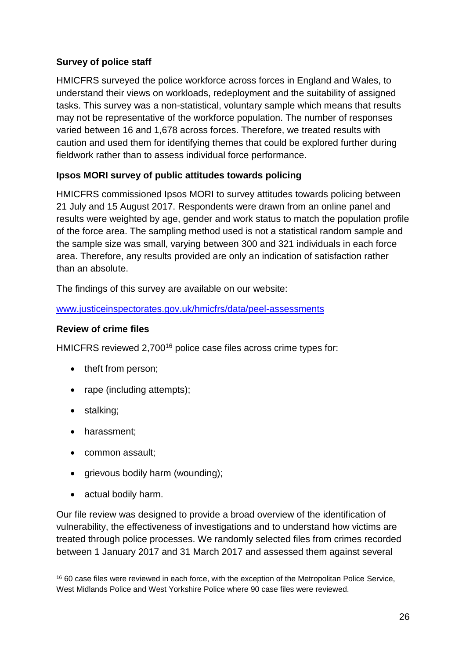#### **Survey of police staff**

HMICFRS surveyed the police workforce across forces in England and Wales, to understand their views on workloads, redeployment and the suitability of assigned tasks. This survey was a non-statistical, voluntary sample which means that results may not be representative of the workforce population. The number of responses varied between 16 and 1,678 across forces. Therefore, we treated results with caution and used them for identifying themes that could be explored further during fieldwork rather than to assess individual force performance.

#### **Ipsos MORI survey of public attitudes towards policing**

HMICFRS commissioned Ipsos MORI to survey attitudes towards policing between 21 July and 15 August 2017. Respondents were drawn from an online panel and results were weighted by age, gender and work status to match the population profile of the force area. The sampling method used is not a statistical random sample and the sample size was small, varying between 300 and 321 individuals in each force area. Therefore, any results provided are only an indication of satisfaction rather than an absolute.

The findings of this survey are available on our website:

[www.justiceinspectorates.gov.uk/hmicfrs/data/peel-assessments](http://www.justiceinspectorates.gov.uk/hmicfrs/data/peel-assessments)

#### **Review of crime files**

HMICFRS reviewed 2,700<sup>16</sup> police case files across crime types for:

- theft from person;
- rape (including attempts);
- stalking;

1

- harassment;
- common assault:
- grievous bodily harm (wounding);
- actual bodily harm.

Our file review was designed to provide a broad overview of the identification of vulnerability, the effectiveness of investigations and to understand how victims are treated through police processes. We randomly selected files from crimes recorded between 1 January 2017 and 31 March 2017 and assessed them against several

<sup>16</sup> 60 case files were reviewed in each force, with the exception of the Metropolitan Police Service, West Midlands Police and West Yorkshire Police where 90 case files were reviewed.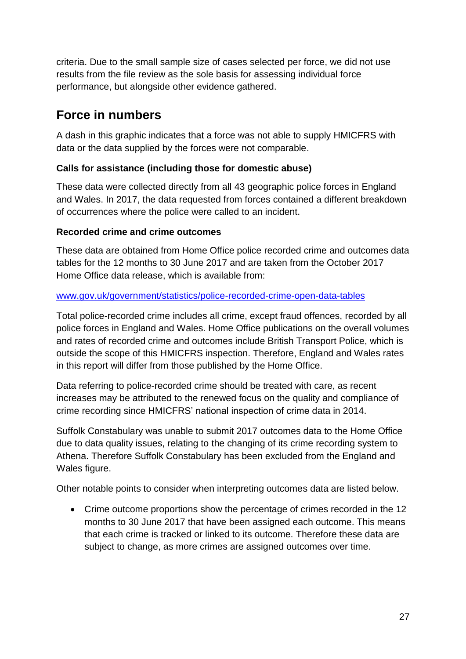criteria. Due to the small sample size of cases selected per force, we did not use results from the file review as the sole basis for assessing individual force performance, but alongside other evidence gathered.

### **Force in numbers**

A dash in this graphic indicates that a force was not able to supply HMICFRS with data or the data supplied by the forces were not comparable.

#### **Calls for assistance (including those for domestic abuse)**

These data were collected directly from all 43 geographic police forces in England and Wales. In 2017, the data requested from forces contained a different breakdown of occurrences where the police were called to an incident.

#### **Recorded crime and crime outcomes**

These data are obtained from Home Office police recorded crime and outcomes data tables for the 12 months to 30 June 2017 and are taken from the October 2017 Home Office data release, which is available from:

#### [www.gov.uk/government/statistics/police-recorded-crime-open-data-tables](http://www.gov.uk/government/statistics/police-recorded-crime-open-data-tables)

Total police-recorded crime includes all crime, except fraud offences, recorded by all police forces in England and Wales. Home Office publications on the overall volumes and rates of recorded crime and outcomes include British Transport Police, which is outside the scope of this HMICFRS inspection. Therefore, England and Wales rates in this report will differ from those published by the Home Office.

Data referring to police-recorded crime should be treated with care, as recent increases may be attributed to the renewed focus on the quality and compliance of crime recording since HMICFRS' national inspection of crime data in 2014.

Suffolk Constabulary was unable to submit 2017 outcomes data to the Home Office due to data quality issues, relating to the changing of its crime recording system to Athena. Therefore Suffolk Constabulary has been excluded from the England and Wales figure.

Other notable points to consider when interpreting outcomes data are listed below.

• Crime outcome proportions show the percentage of crimes recorded in the 12 months to 30 June 2017 that have been assigned each outcome. This means that each crime is tracked or linked to its outcome. Therefore these data are subject to change, as more crimes are assigned outcomes over time.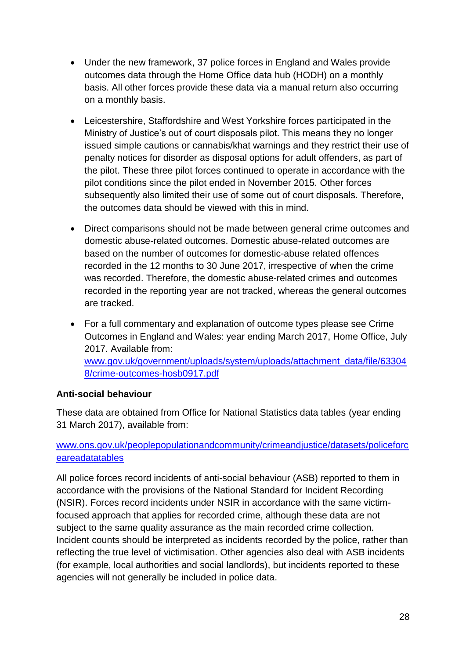- Under the new framework, 37 police forces in England and Wales provide outcomes data through the Home Office data hub (HODH) on a monthly basis. All other forces provide these data via a manual return also occurring on a monthly basis.
- Leicestershire, Staffordshire and West Yorkshire forces participated in the Ministry of Justice's out of court disposals pilot. This means they no longer issued simple cautions or cannabis/khat warnings and they restrict their use of penalty notices for disorder as disposal options for adult offenders, as part of the pilot. These three pilot forces continued to operate in accordance with the pilot conditions since the pilot ended in November 2015. Other forces subsequently also limited their use of some out of court disposals. Therefore, the outcomes data should be viewed with this in mind.
- Direct comparisons should not be made between general crime outcomes and domestic abuse-related outcomes. Domestic abuse-related outcomes are based on the number of outcomes for domestic-abuse related offences recorded in the 12 months to 30 June 2017, irrespective of when the crime was recorded. Therefore, the domestic abuse-related crimes and outcomes recorded in the reporting year are not tracked, whereas the general outcomes are tracked.
- For a full commentary and explanation of outcome types please see Crime Outcomes in England and Wales: year ending March 2017, Home Office, July 2017. Available from: [www.gov.uk/government/uploads/system/uploads/attachment\\_data/file/63304](http://www.gov.uk/government/uploads/system/uploads/attachment_data/file/633048/crime-outcomes-hosb0917.pdf) [8/crime-outcomes-hosb0917.pdf](http://www.gov.uk/government/uploads/system/uploads/attachment_data/file/633048/crime-outcomes-hosb0917.pdf)

#### **Anti-social behaviour**

These data are obtained from Office for National Statistics data tables (year ending 31 March 2017), available from:

#### [www.ons.gov.uk/peoplepopulationandcommunity/crimeandjustice/datasets/policeforc](http://www.ons.gov.uk/peoplepopulationandcommunity/crimeandjustice/datasets/policeforceareadatatables) [eareadatatables](http://www.ons.gov.uk/peoplepopulationandcommunity/crimeandjustice/datasets/policeforceareadatatables)

All police forces record incidents of anti-social behaviour (ASB) reported to them in accordance with the provisions of the National Standard for Incident Recording (NSIR). Forces record incidents under NSIR in accordance with the same victimfocused approach that applies for recorded crime, although these data are not subject to the same quality assurance as the main recorded crime collection. Incident counts should be interpreted as incidents recorded by the police, rather than reflecting the true level of victimisation. Other agencies also deal with ASB incidents (for example, local authorities and social landlords), but incidents reported to these agencies will not generally be included in police data.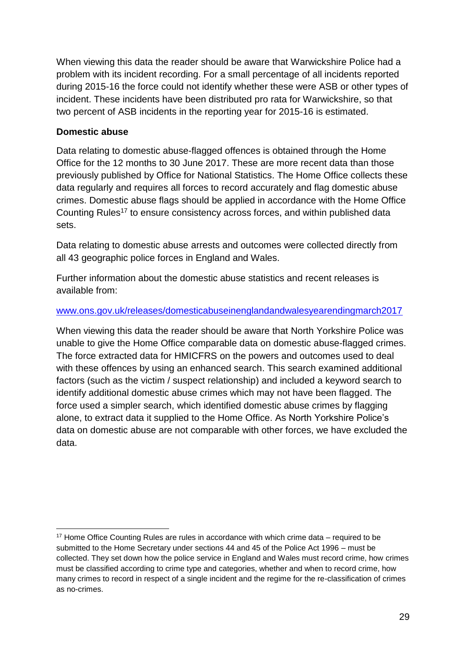When viewing this data the reader should be aware that Warwickshire Police had a problem with its incident recording. For a small percentage of all incidents reported during 2015-16 the force could not identify whether these were ASB or other types of incident. These incidents have been distributed pro rata for Warwickshire, so that two percent of ASB incidents in the reporting year for 2015-16 is estimated.

#### **Domestic abuse**

Data relating to domestic abuse-flagged offences is obtained through the Home Office for the 12 months to 30 June 2017. These are more recent data than those previously published by Office for National Statistics. The Home Office collects these data regularly and requires all forces to record accurately and flag domestic abuse crimes. Domestic abuse flags should be applied in accordance with the Home Office Counting Rules<sup>17</sup> to ensure consistency across forces, and within published data sets.

Data relating to domestic abuse arrests and outcomes were collected directly from all 43 geographic police forces in England and Wales.

Further information about the domestic abuse statistics and recent releases is available from:

#### [www.ons.gov.uk/releases/domesticabuseinenglandandwalesyearendingmarch2017](http://www.ons.gov.uk/releases/domesticabuseinenglandandwalesyearendingmarch2017)

When viewing this data the reader should be aware that North Yorkshire Police was unable to give the Home Office comparable data on domestic abuse-flagged crimes. The force extracted data for HMICFRS on the powers and outcomes used to deal with these offences by using an enhanced search. This search examined additional factors (such as the victim / suspect relationship) and included a keyword search to identify additional domestic abuse crimes which may not have been flagged. The force used a simpler search, which identified domestic abuse crimes by flagging alone, to extract data it supplied to the Home Office. As North Yorkshire Police's data on domestic abuse are not comparable with other forces, we have excluded the data.

<sup>&</sup>lt;u>.</u> <sup>17</sup> Home Office Counting Rules are rules in accordance with which crime data – required to be submitted to the Home Secretary under sections 44 and 45 of the Police Act 1996 – must be collected. They set down how the police service in England and Wales must record crime, how crimes must be classified according to crime type and categories, whether and when to record crime, how many crimes to record in respect of a single incident and the regime for the re-classification of crimes as no-crimes.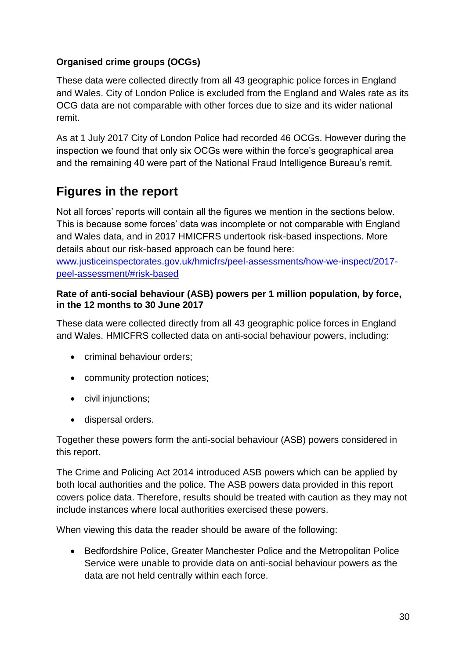#### **Organised crime groups (OCGs)**

These data were collected directly from all 43 geographic police forces in England and Wales. City of London Police is excluded from the England and Wales rate as its OCG data are not comparable with other forces due to size and its wider national remit.

As at 1 July 2017 City of London Police had recorded 46 OCGs. However during the inspection we found that only six OCGs were within the force's geographical area and the remaining 40 were part of the National Fraud Intelligence Bureau's remit.

# **Figures in the report**

Not all forces' reports will contain all the figures we mention in the sections below. This is because some forces' data was incomplete or not comparable with England and Wales data, and in 2017 HMICFRS undertook risk-based inspections. More details about our risk-based approach can be found here: [www.justiceinspectorates.gov.uk/hmicfrs/peel-assessments/how-we-inspect/2017](http://www.justiceinspectorates.gov.uk/hmicfrs/peel-assessments/how-we-inspect/2017-peel-assessment/#risk-based) [peel-assessment/#risk-based](http://www.justiceinspectorates.gov.uk/hmicfrs/peel-assessments/how-we-inspect/2017-peel-assessment/#risk-based)

#### **Rate of anti-social behaviour (ASB) powers per 1 million population, by force, in the 12 months to 30 June 2017**

These data were collected directly from all 43 geographic police forces in England and Wales. HMICFRS collected data on anti-social behaviour powers, including:

- criminal behaviour orders:
- community protection notices;
- civil injunctions;
- dispersal orders.

Together these powers form the anti-social behaviour (ASB) powers considered in this report.

The Crime and Policing Act 2014 introduced ASB powers which can be applied by both local authorities and the police. The ASB powers data provided in this report covers police data. Therefore, results should be treated with caution as they may not include instances where local authorities exercised these powers.

When viewing this data the reader should be aware of the following:

• Bedfordshire Police, Greater Manchester Police and the Metropolitan Police Service were unable to provide data on anti-social behaviour powers as the data are not held centrally within each force.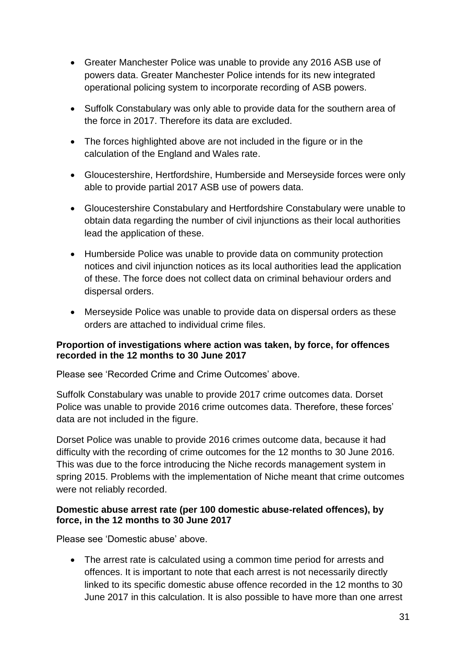- Greater Manchester Police was unable to provide any 2016 ASB use of powers data. Greater Manchester Police intends for its new integrated operational policing system to incorporate recording of ASB powers.
- Suffolk Constabulary was only able to provide data for the southern area of the force in 2017. Therefore its data are excluded.
- The forces highlighted above are not included in the figure or in the calculation of the England and Wales rate.
- Gloucestershire, Hertfordshire, Humberside and Merseyside forces were only able to provide partial 2017 ASB use of powers data.
- Gloucestershire Constabulary and Hertfordshire Constabulary were unable to obtain data regarding the number of civil injunctions as their local authorities lead the application of these.
- Humberside Police was unable to provide data on community protection notices and civil injunction notices as its local authorities lead the application of these. The force does not collect data on criminal behaviour orders and dispersal orders.
- Merseyside Police was unable to provide data on dispersal orders as these orders are attached to individual crime files.

#### **Proportion of investigations where action was taken, by force, for offences recorded in the 12 months to 30 June 2017**

Please see 'Recorded Crime and Crime Outcomes' above.

Suffolk Constabulary was unable to provide 2017 crime outcomes data. Dorset Police was unable to provide 2016 crime outcomes data. Therefore, these forces' data are not included in the figure.

Dorset Police was unable to provide 2016 crimes outcome data, because it had difficulty with the recording of crime outcomes for the 12 months to 30 June 2016. This was due to the force introducing the Niche records management system in spring 2015. Problems with the implementation of Niche meant that crime outcomes were not reliably recorded.

#### **Domestic abuse arrest rate (per 100 domestic abuse-related offences), by force, in the 12 months to 30 June 2017**

Please see 'Domestic abuse' above.

• The arrest rate is calculated using a common time period for arrests and offences. It is important to note that each arrest is not necessarily directly linked to its specific domestic abuse offence recorded in the 12 months to 30 June 2017 in this calculation. It is also possible to have more than one arrest